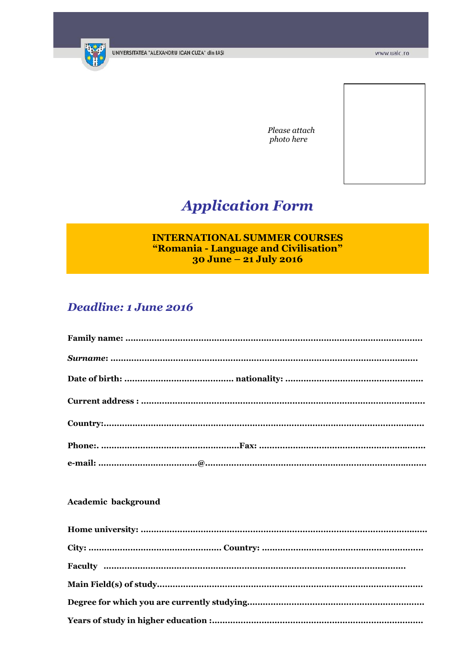

Please attach photo here

# **Application Form**

## **INTERNATIONAL SUMMER COURSES** "Romania - Language and Civilisation" 30 June - 21 July 2016

# Deadline: 1 June 2016

### Academic background